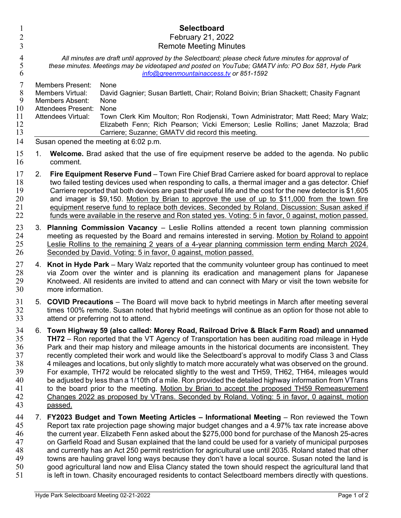| $\mathbf{1}$<br>$\overline{2}$<br>3                      |                                                                                                                                                                                                                                                       | <b>Selectboard</b><br>February 21, 2022<br><b>Remote Meeting Minutes</b>                                                                                                                                                                                                                                                                                                                                                                                                                                                                                                                                                                                                                                                                                                                                                                                                                                                                       |
|----------------------------------------------------------|-------------------------------------------------------------------------------------------------------------------------------------------------------------------------------------------------------------------------------------------------------|------------------------------------------------------------------------------------------------------------------------------------------------------------------------------------------------------------------------------------------------------------------------------------------------------------------------------------------------------------------------------------------------------------------------------------------------------------------------------------------------------------------------------------------------------------------------------------------------------------------------------------------------------------------------------------------------------------------------------------------------------------------------------------------------------------------------------------------------------------------------------------------------------------------------------------------------|
| $\overline{\mathcal{A}}$<br>5<br>6                       | All minutes are draft until approved by the Selectboard; please check future minutes for approval of<br>these minutes. Meetings may be videotaped and posted on YouTube; GMATV info: PO Box 581, Hyde Park<br>info@greenmountainaccess.tv or 851-1592 |                                                                                                                                                                                                                                                                                                                                                                                                                                                                                                                                                                                                                                                                                                                                                                                                                                                                                                                                                |
| 7<br>8<br>9<br>10<br>11<br>12<br>13                      |                                                                                                                                                                                                                                                       | <b>Members Present:</b><br>None<br>David Gagnier; Susan Bartlett, Chair; Roland Boivin; Brian Shackett; Chasity Fagnant<br>Members Virtual:<br><b>Members Absent:</b><br>None<br><b>Attendees Present:</b><br>None<br>Town Clerk Kim Moulton; Ron Rodjenski, Town Administrator; Matt Reed; Mary Walz;<br><b>Attendees Virtual:</b><br>Elizabeth Fenn; Rich Pearson; Vicki Emerson; Leslie Rollins; Janet Mazzola; Brad<br>Carriere; Suzanne; GMATV did record this meeting.                                                                                                                                                                                                                                                                                                                                                                                                                                                                   |
| 14<br>15                                                 | 1.                                                                                                                                                                                                                                                    | Susan opened the meeting at 6:02 p.m.<br><b>Welcome.</b> Brad asked that the use of fire equipment reserve be added to the agenda. No public                                                                                                                                                                                                                                                                                                                                                                                                                                                                                                                                                                                                                                                                                                                                                                                                   |
| 16<br>17<br>18<br>19<br>20<br>21<br>22                   | 2.                                                                                                                                                                                                                                                    | comment.<br>Fire Equipment Reserve Fund – Town Fire Chief Brad Carriere asked for board approval to replace<br>two failed testing devices used when responding to calls, a thermal imager and a gas detector. Chief<br>Carriere reported that both devices are past their useful life and the cost for the new detector is \$1,605<br>and imager is \$9,150. Motion by Brian to approve the use of up to \$11,000 from the town fire<br>equipment reserve fund to replace both devices. Seconded by Roland. Discussion: Susan asked if<br>funds were available in the reserve and Ron stated yes. Voting: 5 in favor, 0 against, motion passed.                                                                                                                                                                                                                                                                                                |
| 23<br>24<br>25<br>26                                     |                                                                                                                                                                                                                                                       | 3. Planning Commission Vacancy – Leslie Rollins attended a recent town planning commission<br>meeting as requested by the Board and remains interested in serving. Motion by Roland to appoint<br>Leslie Rollins to the remaining 2 years of a 4-year planning commission term ending March 2024.<br>Seconded by David. Voting: 5 in favor, 0 against, motion passed.                                                                                                                                                                                                                                                                                                                                                                                                                                                                                                                                                                          |
| 27<br>28<br>29<br>30                                     |                                                                                                                                                                                                                                                       | 4. Knot in Hyde Park – Mary Walz reported that the community volunteer group has continued to meet<br>via Zoom over the winter and is planning its eradication and management plans for Japanese<br>Knotweed. All residents are invited to attend and can connect with Mary or visit the town website for<br>more information.                                                                                                                                                                                                                                                                                                                                                                                                                                                                                                                                                                                                                 |
| 31<br>32<br>33                                           |                                                                                                                                                                                                                                                       | 5. COVID Precautions - The Board will move back to hybrid meetings in March after meeting several<br>times 100% remote. Susan noted that hybrid meetings will continue as an option for those not able to<br>attend or preferring not to attend.                                                                                                                                                                                                                                                                                                                                                                                                                                                                                                                                                                                                                                                                                               |
| 34<br>35<br>36<br>37<br>38<br>39<br>40<br>41<br>42<br>43 | 6.                                                                                                                                                                                                                                                    | Town Highway 59 (also called: Morey Road, Railroad Drive & Black Farm Road) and unnamed<br><b>TH72</b> – Ron reported that the VT Agency of Transportation has been auditing road mileage in Hyde<br>Park and their map history and mileage amounts in the historical documents are inconsistent. They<br>recently completed their work and would like the Selectboard's approval to modify Class 3 and Class<br>4 mileages and locations, but only slightly to match more accurately what was observed on the ground.<br>For example, TH72 would be relocated slightly to the west and TH59, TH62, TH64, mileages would<br>be adjusted by less than a 1/10th of a mile. Ron provided the detailed highway information from VTrans<br>to the board prior to the meeting. Motion by Brian to accept the proposed TH59 Remeasurement<br>Changes 2022 as proposed by VTrans. Seconded by Roland. Voting: 5 in favor, 0 against, motion<br>passed. |
| 44<br>45<br>46<br>47<br>48<br>49<br>50<br>51             | 7.                                                                                                                                                                                                                                                    | FY2023 Budget and Town Meeting Articles - Informational Meeting - Ron reviewed the Town<br>Report tax rate projection page showing major budget changes and a 4.97% tax rate increase above<br>the current year. Elizabeth Fenn asked about the \$275,000 bond for purchase of the Manosh 25-acres<br>on Garfield Road and Susan explained that the land could be used for a variety of municipal purposes<br>and currently has an Act 250 permit restriction for agricultural use until 2035. Roland stated that other<br>towns are hauling gravel long ways because they don't have a local source. Susan noted the land is<br>good agricultural land now and Elisa Clancy stated the town should respect the agricultural land that<br>is left in town. Chasity encouraged residents to contact Selectboard members directly with questions.                                                                                                |